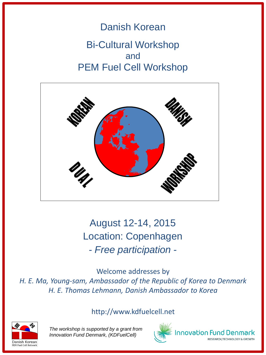# Danish Korean Bi-Cultural Workshop and PEM Fuel Cell Workshop



August 12-14, 2015 Location: Copenhagen *- Free participation -*

Welcome addresses by *H. E. Ma, Young-sam, Ambassador of the Republic of Korea to Denmark H. E. Thomas Lehmann, Danish Ambassador to Korea*

http://www.kdfuelcell.net



*The workshop is supported by a grant from Innovation Fund Denmark, (KDFuelCell)*



nnovation Fund Denmark

RESEARCH, TECHNOLOGY & GROWTH